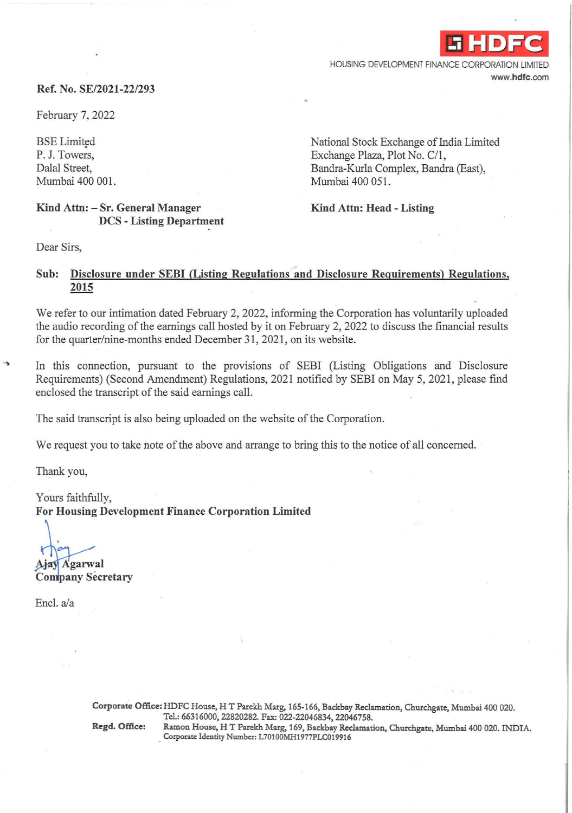HOUSING DEVELOPMENT FINANCE CORPORATION LIMITED www.hdfc.com

-i **HDFC** 

# Ref. No. SE/2021-22/293

February 7, 2022

**BSE** Limited P. J. Towers, Dalal Street, Mumbai 400 001. National Stock Exchange of India Limited Exchange Plaza, Plot No. C/1, Bandra-Kurla Complex, Bandra (East), Mumbai 400 051.

# Kind Attn: - Sr. General Manager DCS - Listing Department

Kind Attn: Head - Listing

Dear Sirs,

# Sub: Disclosure under SEBI (Listing Regulations and Disclosure Requirements) Regulations, 2015

We refer to our intimation dated February 2, 2022, informing the Corporation has voluntarily uploaded the audio recording of the earnings call hosted by it on February 2, 2022 to discuss the financial results for the quarter/nine-months ended December 31, 2021, on its website.

In this connection, pursuant to the provisions of SEBI (Listing Obligations and Disclosure Requirements) (Second Amendment) Regulations, 2021 notified by SEBI on May 5, 2021, please find enclosed the transcript of the said earnings call.

The said transcript is also being uploaded on the website of the Corporation.

We request you to take note of the above and arrange to bring this to the notice of all concerned.

Thank you,

Yours faithfully, For Housing Development Finance Corporation Limited

Ajay Agarwal

**Company Secretary** 

Encl. a/a

Corporate Office: HDFC House, HT Parekh Marg, 165-166, Backbay Reclamation, Churchgate, Mumbai 400 020. Tel.: 66316000, 22820282. Fax: 022-22046834, 22046758. Regd. Office: Ramon House, HT Parekh Marg, 169, Backbay Reclamation, Churchgate, Mumbai 400 020. INDIA. Corporate Identity Number: L70100MH1977PLC019916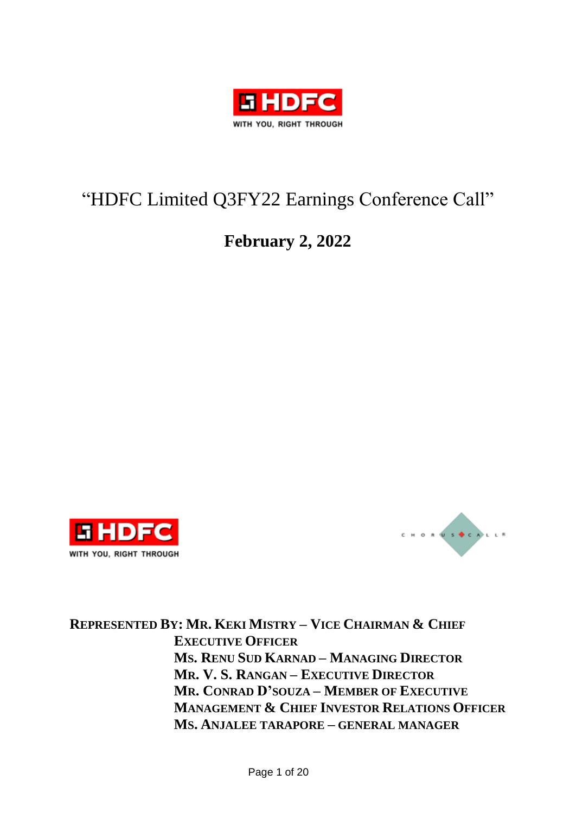

# "HDFC Limited Q3FY22 Earnings Conference Call"

# **February 2, 2022**





**REPRESENTED BY: MR. KEKI MISTRY – VICE CHAIRMAN & CHIEF EXECUTIVE OFFICER MS. RENU SUD KARNAD – MANAGING DIRECTOR MR. V. S. RANGAN – EXECUTIVE DIRECTOR MR. CONRAD D'SOUZA – MEMBER OF EXECUTIVE MANAGEMENT & CHIEF INVESTOR RELATIONS OFFICER MS. ANJALEE TARAPORE – GENERAL MANAGER**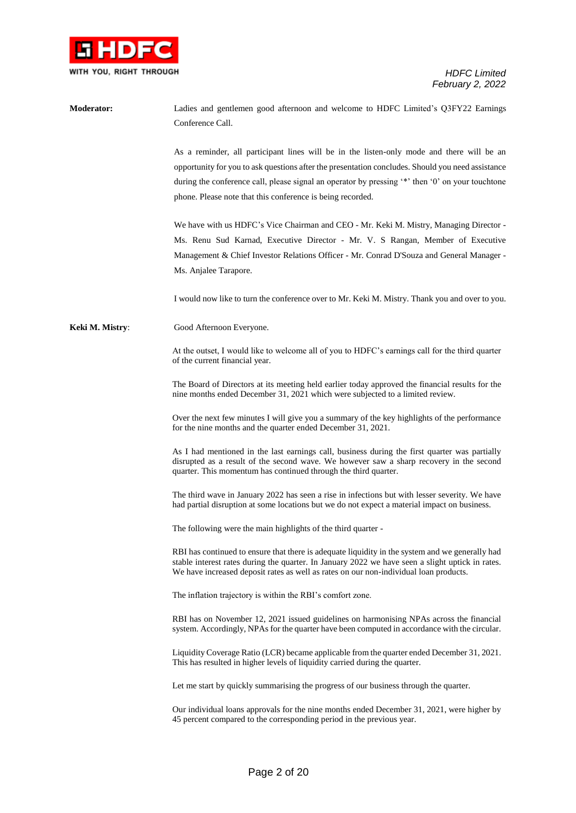

| <b>Moderator:</b> | Ladies and gentlemen good afternoon and welcome to HDFC Limited's Q3FY22 Earnings                                                                                                                                                                                                            |
|-------------------|----------------------------------------------------------------------------------------------------------------------------------------------------------------------------------------------------------------------------------------------------------------------------------------------|
|                   | Conference Call.                                                                                                                                                                                                                                                                             |
|                   |                                                                                                                                                                                                                                                                                              |
|                   | As a reminder, all participant lines will be in the listen-only mode and there will be an                                                                                                                                                                                                    |
|                   | opportunity for you to ask questions after the presentation concludes. Should you need assistance                                                                                                                                                                                            |
|                   | during the conference call, please signal an operator by pressing '*' then '0' on your touchtone                                                                                                                                                                                             |
|                   | phone. Please note that this conference is being recorded.                                                                                                                                                                                                                                   |
|                   | We have with us HDFC's Vice Chairman and CEO - Mr. Keki M. Mistry, Managing Director -                                                                                                                                                                                                       |
|                   | Ms. Renu Sud Karnad, Executive Director - Mr. V. S Rangan, Member of Executive                                                                                                                                                                                                               |
|                   | Management & Chief Investor Relations Officer - Mr. Conrad D'Souza and General Manager -                                                                                                                                                                                                     |
|                   | Ms. Anjalee Tarapore.                                                                                                                                                                                                                                                                        |
|                   | I would now like to turn the conference over to Mr. Keki M. Mistry. Thank you and over to you.                                                                                                                                                                                               |
| Keki M. Mistry:   | Good Afternoon Everyone.                                                                                                                                                                                                                                                                     |
|                   | At the outset, I would like to welcome all of you to HDFC's earnings call for the third quarter<br>of the current financial year.                                                                                                                                                            |
|                   | The Board of Directors at its meeting held earlier today approved the financial results for the<br>nine months ended December 31, 2021 which were subjected to a limited review.                                                                                                             |
|                   | Over the next few minutes I will give you a summary of the key highlights of the performance<br>for the nine months and the quarter ended December 31, 2021.                                                                                                                                 |
|                   | As I had mentioned in the last earnings call, business during the first quarter was partially<br>disrupted as a result of the second wave. We however saw a sharp recovery in the second<br>quarter. This momentum has continued through the third quarter.                                  |
|                   | The third wave in January 2022 has seen a rise in infections but with lesser severity. We have<br>had partial disruption at some locations but we do not expect a material impact on business.                                                                                               |
|                   | The following were the main highlights of the third quarter -                                                                                                                                                                                                                                |
|                   | RBI has continued to ensure that there is adequate liquidity in the system and we generally had<br>stable interest rates during the quarter. In January 2022 we have seen a slight uptick in rates.<br>We have increased deposit rates as well as rates on our non-individual loan products. |
|                   | The inflation trajectory is within the RBI's comfort zone.                                                                                                                                                                                                                                   |
|                   | RBI has on November 12, 2021 issued guidelines on harmonising NPAs across the financial<br>system. Accordingly, NPAs for the quarter have been computed in accordance with the circular.                                                                                                     |
|                   | Liquidity Coverage Ratio (LCR) became applicable from the quarter ended December 31, 2021.<br>This has resulted in higher levels of liquidity carried during the quarter.                                                                                                                    |
|                   | Let me start by quickly summarising the progress of our business through the quarter.                                                                                                                                                                                                        |
|                   | Our individual loans approvals for the nine months ended December 31, 2021, were higher by<br>45 percent compared to the corresponding period in the previous year.                                                                                                                          |
|                   |                                                                                                                                                                                                                                                                                              |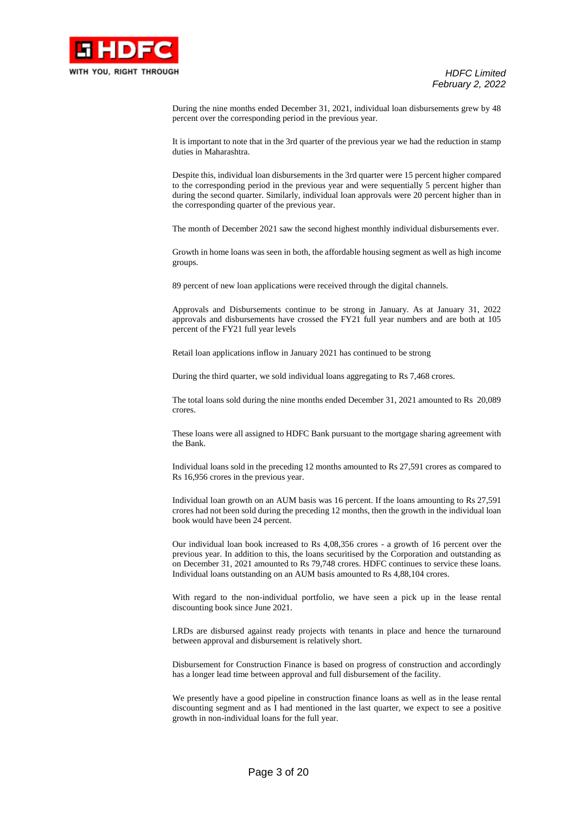

During the nine months ended December 31, 2021, individual loan disbursements grew by 48 percent over the corresponding period in the previous year.

It is important to note that in the 3rd quarter of the previous year we had the reduction in stamp duties in Maharashtra.

Despite this, individual loan disbursements in the 3rd quarter were 15 percent higher compared to the corresponding period in the previous year and were sequentially 5 percent higher than during the second quarter. Similarly, individual loan approvals were 20 percent higher than in the corresponding quarter of the previous year.

The month of December 2021 saw the second highest monthly individual disbursements ever.

Growth in home loans was seen in both, the affordable housing segment as well as high income groups.

89 percent of new loan applications were received through the digital channels.

Approvals and Disbursements continue to be strong in January. As at January 31, 2022 approvals and disbursements have crossed the FY21 full year numbers and are both at 105 percent of the FY21 full year levels

Retail loan applications inflow in January 2021 has continued to be strong

During the third quarter, we sold individual loans aggregating to Rs 7,468 crores.

The total loans sold during the nine months ended December 31, 2021 amounted to Rs 20,089 crores.

These loans were all assigned to HDFC Bank pursuant to the mortgage sharing agreement with the Bank.

Individual loans sold in the preceding 12 months amounted to Rs 27,591 crores as compared to Rs 16,956 crores in the previous year.

Individual loan growth on an AUM basis was 16 percent. If the loans amounting to Rs 27,591 crores had not been sold during the preceding 12 months, then the growth in the individual loan book would have been 24 percent.

Our individual loan book increased to Rs 4,08,356 crores - a growth of 16 percent over the previous year. In addition to this, the loans securitised by the Corporation and outstanding as on December 31, 2021 amounted to Rs 79,748 crores. HDFC continues to service these loans. Individual loans outstanding on an AUM basis amounted to Rs 4,88,104 crores.

With regard to the non-individual portfolio, we have seen a pick up in the lease rental discounting book since June 2021.

LRDs are disbursed against ready projects with tenants in place and hence the turnaround between approval and disbursement is relatively short.

Disbursement for Construction Finance is based on progress of construction and accordingly has a longer lead time between approval and full disbursement of the facility.

We presently have a good pipeline in construction finance loans as well as in the lease rental discounting segment and as I had mentioned in the last quarter, we expect to see a positive growth in non-individual loans for the full year.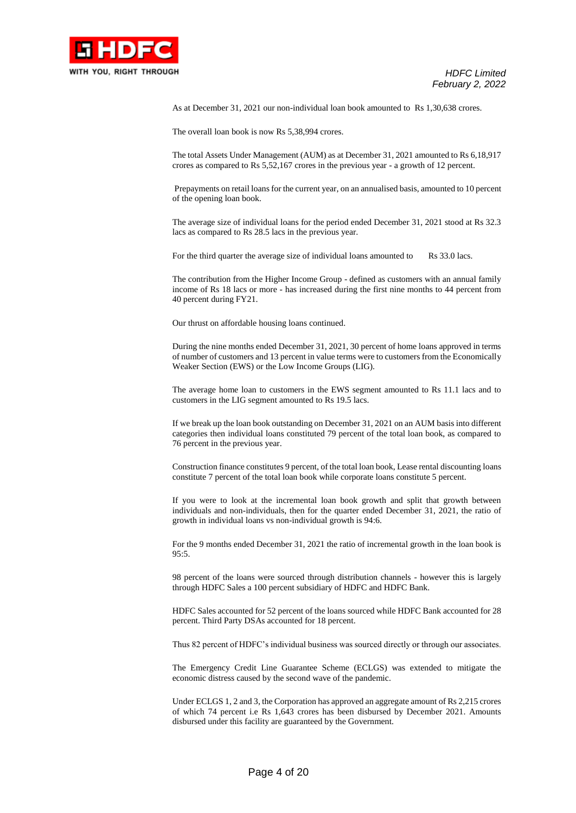

As at December 31, 2021 our non-individual loan book amounted to Rs 1,30,638 crores.

The overall loan book is now Rs 5,38,994 crores.

The total Assets Under Management (AUM) as at December 31, 2021 amounted to Rs 6,18,917 crores as compared to Rs 5,52,167 crores in the previous year - a growth of 12 percent.

Prepayments on retail loans for the current year, on an annualised basis, amounted to 10 percent of the opening loan book.

The average size of individual loans for the period ended December 31, 2021 stood at Rs 32.3 lacs as compared to Rs 28.5 lacs in the previous year.

For the third quarter the average size of individual loans amounted to Rs 33.0 lacs.

The contribution from the Higher Income Group - defined as customers with an annual family income of Rs 18 lacs or more - has increased during the first nine months to 44 percent from 40 percent during FY21.

Our thrust on affordable housing loans continued.

During the nine months ended December 31, 2021, 30 percent of home loans approved in terms of number of customers and 13 percent in value terms were to customers from the Economically Weaker Section (EWS) or the Low Income Groups (LIG).

The average home loan to customers in the EWS segment amounted to Rs 11.1 lacs and to customers in the LIG segment amounted to Rs 19.5 lacs.

If we break up the loan book outstanding on December 31, 2021 on an AUM basis into different categories then individual loans constituted 79 percent of the total loan book, as compared to 76 percent in the previous year.

Construction finance constitutes 9 percent, of the total loan book, Lease rental discounting loans constitute 7 percent of the total loan book while corporate loans constitute 5 percent.

If you were to look at the incremental loan book growth and split that growth between individuals and non-individuals, then for the quarter ended December 31, 2021, the ratio of growth in individual loans vs non-individual growth is 94:6.

For the 9 months ended December 31, 2021 the ratio of incremental growth in the loan book is 95:5.

98 percent of the loans were sourced through distribution channels - however this is largely through HDFC Sales a 100 percent subsidiary of HDFC and HDFC Bank.

HDFC Sales accounted for 52 percent of the loans sourced while HDFC Bank accounted for 28 percent. Third Party DSAs accounted for 18 percent.

Thus 82 percent of HDFC's individual business was sourced directly or through our associates.

The Emergency Credit Line Guarantee Scheme (ECLGS) was extended to mitigate the economic distress caused by the second wave of the pandemic.

Under ECLGS 1, 2 and 3, the Corporation has approved an aggregate amount of Rs 2,215 crores of which 74 percent i.e Rs 1,643 crores has been disbursed by December 2021. Amounts disbursed under this facility are guaranteed by the Government.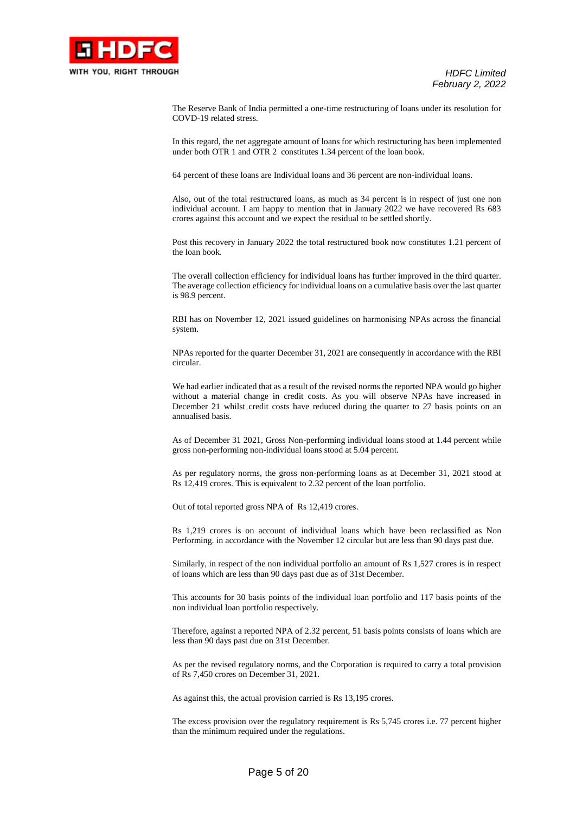

The Reserve Bank of India permitted a one-time restructuring of loans under its resolution for COVD-19 related stress.

In this regard, the net aggregate amount of loans for which restructuring has been implemented under both OTR 1 and OTR 2 constitutes 1.34 percent of the loan book.

64 percent of these loans are Individual loans and 36 percent are non-individual loans.

Also, out of the total restructured loans, as much as 34 percent is in respect of just one non individual account. I am happy to mention that in January 2022 we have recovered Rs 683 crores against this account and we expect the residual to be settled shortly.

Post this recovery in January 2022 the total restructured book now constitutes 1.21 percent of the loan book.

The overall collection efficiency for individual loans has further improved in the third quarter. The average collection efficiency for individual loans on a cumulative basis over the last quarter is 98.9 percent.

RBI has on November 12, 2021 issued guidelines on harmonising NPAs across the financial system.

NPAs reported for the quarter December 31, 2021 are consequently in accordance with the RBI circular.

We had earlier indicated that as a result of the revised norms the reported NPA would go higher without a material change in credit costs. As you will observe NPAs have increased in December 21 whilst credit costs have reduced during the quarter to 27 basis points on an annualised basis.

As of December 31 2021, Gross Non-performing individual loans stood at 1.44 percent while gross non-performing non-individual loans stood at 5.04 percent.

As per regulatory norms, the gross non-performing loans as at December 31, 2021 stood at Rs 12,419 crores. This is equivalent to 2.32 percent of the loan portfolio.

Out of total reported gross NPA of Rs 12,419 crores.

Rs 1,219 crores is on account of individual loans which have been reclassified as Non Performing. in accordance with the November 12 circular but are less than 90 days past due.

Similarly, in respect of the non individual portfolio an amount of Rs 1,527 crores is in respect of loans which are less than 90 days past due as of 31st December.

This accounts for 30 basis points of the individual loan portfolio and 117 basis points of the non individual loan portfolio respectively.

Therefore, against a reported NPA of 2.32 percent, 51 basis points consists of loans which are less than 90 days past due on 31st December.

As per the revised regulatory norms, and the Corporation is required to carry a total provision of Rs 7,450 crores on December 31, 2021.

As against this, the actual provision carried is Rs 13,195 crores.

The excess provision over the regulatory requirement is Rs 5,745 crores i.e. 77 percent higher than the minimum required under the regulations.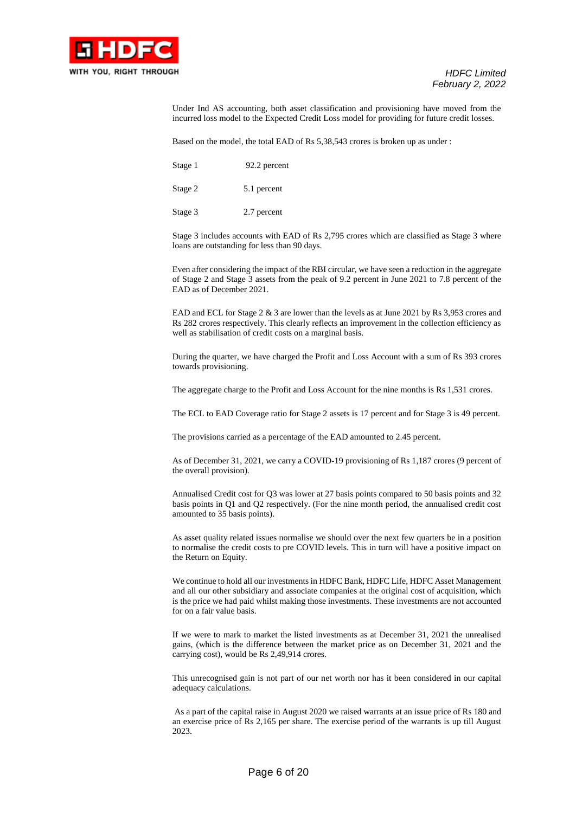

Under Ind AS accounting, both asset classification and provisioning have moved from the incurred loss model to the Expected Credit Loss model for providing for future credit losses.

Based on the model, the total EAD of Rs 5,38,543 crores is broken up as under :

| Stage 1 | 92.2 percent |
|---------|--------------|
| Stage 2 | 5.1 percent  |

Stage 3 2.7 percent

Stage 3 includes accounts with EAD of Rs 2,795 crores which are classified as Stage 3 where loans are outstanding for less than 90 days.

Even after considering the impact of the RBI circular, we have seen a reduction in the aggregate of Stage 2 and Stage 3 assets from the peak of 9.2 percent in June 2021 to 7.8 percent of the EAD as of December 2021.

EAD and ECL for Stage 2 & 3 are lower than the levels as at June 2021 by Rs 3,953 crores and Rs 282 crores respectively. This clearly reflects an improvement in the collection efficiency as well as stabilisation of credit costs on a marginal basis.

During the quarter, we have charged the Profit and Loss Account with a sum of Rs 393 crores towards provisioning.

The aggregate charge to the Profit and Loss Account for the nine months is Rs 1,531 crores.

The ECL to EAD Coverage ratio for Stage 2 assets is 17 percent and for Stage 3 is 49 percent.

The provisions carried as a percentage of the EAD amounted to 2.45 percent.

As of December 31, 2021, we carry a COVID-19 provisioning of Rs 1,187 crores (9 percent of the overall provision).

Annualised Credit cost for Q3 was lower at 27 basis points compared to 50 basis points and 32 basis points in Q1 and Q2 respectively. (For the nine month period, the annualised credit cost amounted to 35 basis points).

As asset quality related issues normalise we should over the next few quarters be in a position to normalise the credit costs to pre COVID levels. This in turn will have a positive impact on the Return on Equity.

We continue to hold all our investments in HDFC Bank, HDFC Life, HDFC Asset Management and all our other subsidiary and associate companies at the original cost of acquisition, which is the price we had paid whilst making those investments. These investments are not accounted for on a fair value basis.

If we were to mark to market the listed investments as at December 31, 2021 the unrealised gains, (which is the difference between the market price as on December 31, 2021 and the carrying cost), would be Rs 2,49,914 crores.

This unrecognised gain is not part of our net worth nor has it been considered in our capital adequacy calculations.

As a part of the capital raise in August 2020 we raised warrants at an issue price of Rs 180 and an exercise price of Rs 2,165 per share. The exercise period of the warrants is up till August 2023.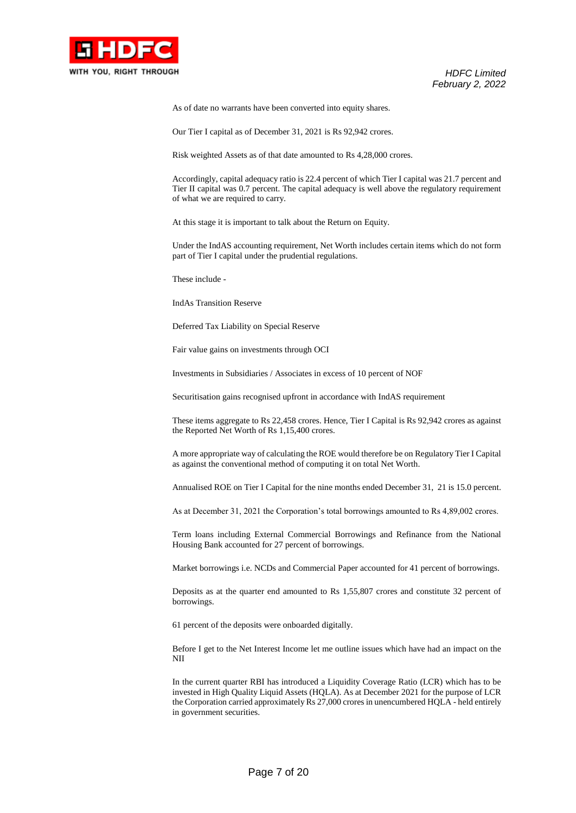

As of date no warrants have been converted into equity shares.

Our Tier I capital as of December 31, 2021 is Rs 92,942 crores.

Risk weighted Assets as of that date amounted to Rs 4,28,000 crores.

Accordingly, capital adequacy ratio is 22.4 percent of which Tier I capital was 21.7 percent and Tier II capital was 0.7 percent. The capital adequacy is well above the regulatory requirement of what we are required to carry.

At this stage it is important to talk about the Return on Equity.

Under the IndAS accounting requirement, Net Worth includes certain items which do not form part of Tier I capital under the prudential regulations.

These include -

IndAs Transition Reserve

Deferred Tax Liability on Special Reserve

Fair value gains on investments through OCI

Investments in Subsidiaries / Associates in excess of 10 percent of NOF

Securitisation gains recognised upfront in accordance with IndAS requirement

These items aggregate to Rs 22,458 crores. Hence, Tier I Capital is Rs 92,942 crores as against the Reported Net Worth of Rs 1,15,400 crores.

A more appropriate way of calculating the ROE would therefore be on Regulatory Tier I Capital as against the conventional method of computing it on total Net Worth.

Annualised ROE on Tier I Capital for the nine months ended December 31, 21 is 15.0 percent.

As at December 31, 2021 the Corporation's total borrowings amounted to Rs 4,89,002 crores.

Term loans including External Commercial Borrowings and Refinance from the National Housing Bank accounted for 27 percent of borrowings.

Market borrowings i.e. NCDs and Commercial Paper accounted for 41 percent of borrowings.

Deposits as at the quarter end amounted to Rs 1,55,807 crores and constitute 32 percent of borrowings.

61 percent of the deposits were onboarded digitally.

Before I get to the Net Interest Income let me outline issues which have had an impact on the NII

In the current quarter RBI has introduced a Liquidity Coverage Ratio (LCR) which has to be invested in High Quality Liquid Assets (HQLA). As at December 2021 for the purpose of LCR the Corporation carried approximately Rs 27,000 crores in unencumbered HQLA - held entirely in government securities.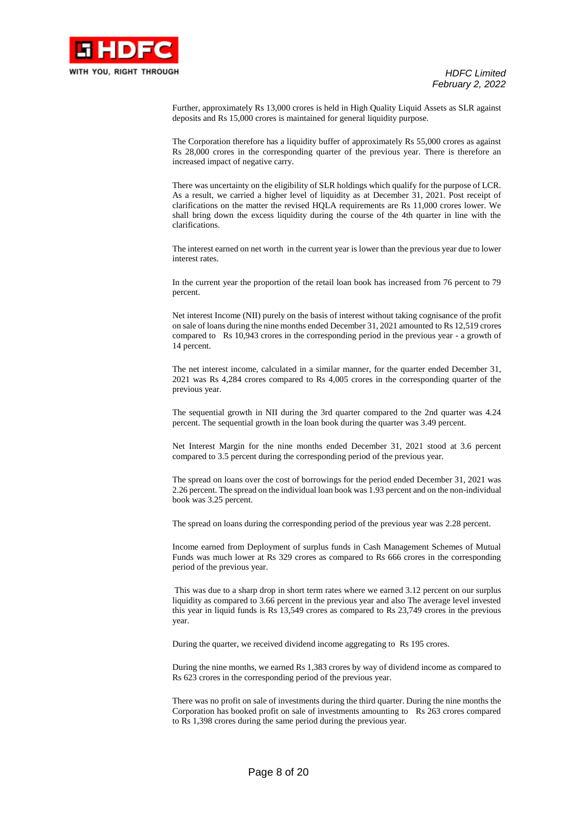

Further, approximately Rs 13,000 crores is held in High Quality Liquid Assets as SLR against deposits and Rs 15,000 crores is maintained for general liquidity purpose.

The Corporation therefore has a liquidity buffer of approximately Rs 55,000 crores as against Rs 28,000 crores in the corresponding quarter of the previous year. There is therefore an increased impact of negative carry.

There was uncertainty on the eligibility of SLR holdings which qualify for the purpose of LCR. As a result, we carried a higher level of liquidity as at December 31, 2021. Post receipt of clarifications on the matter the revised HQLA requirements are Rs 11,000 crores lower. We shall bring down the excess liquidity during the course of the 4th quarter in line with the clarifications.

The interest earned on net worth in the current year is lower than the previous year due to lower interest rates.

In the current year the proportion of the retail loan book has increased from 76 percent to 79 percent.

Net interest Income (NII) purely on the basis of interest without taking cognisance of the profit on sale of loans during the nine months ended December 31, 2021 amounted to Rs 12,519 crores compared to Rs 10,943 crores in the corresponding period in the previous year - a growth of 14 percent.

The net interest income, calculated in a similar manner, for the quarter ended December 31, 2021 was Rs 4,284 crores compared to Rs 4,005 crores in the corresponding quarter of the previous year.

The sequential growth in NII during the 3rd quarter compared to the 2nd quarter was 4.24 percent. The sequential growth in the loan book during the quarter was 3.49 percent.

Net Interest Margin for the nine months ended December 31, 2021 stood at 3.6 percent compared to 3.5 percent during the corresponding period of the previous year.

The spread on loans over the cost of borrowings for the period ended December 31, 2021 was 2.26 percent. The spread on the individual loan book was 1.93 percent and on the non-individual book was 3.25 percent.

The spread on loans during the corresponding period of the previous year was 2.28 percent.

Income earned from Deployment of surplus funds in Cash Management Schemes of Mutual Funds was much lower at Rs 329 crores as compared to Rs 666 crores in the corresponding period of the previous year.

This was due to a sharp drop in short term rates where we earned 3.12 percent on our surplus liquidity as compared to 3.66 percent in the previous year and also The average level invested this year in liquid funds is Rs 13,549 crores as compared to Rs 23,749 crores in the previous year.

During the quarter, we received dividend income aggregating to Rs 195 crores.

During the nine months, we earned Rs 1,383 crores by way of dividend income as compared to Rs 623 crores in the corresponding period of the previous year.

There was no profit on sale of investments during the third quarter. During the nine months the Corporation has booked profit on sale of investments amounting to Rs 263 crores compared to Rs 1,398 crores during the same period during the previous year.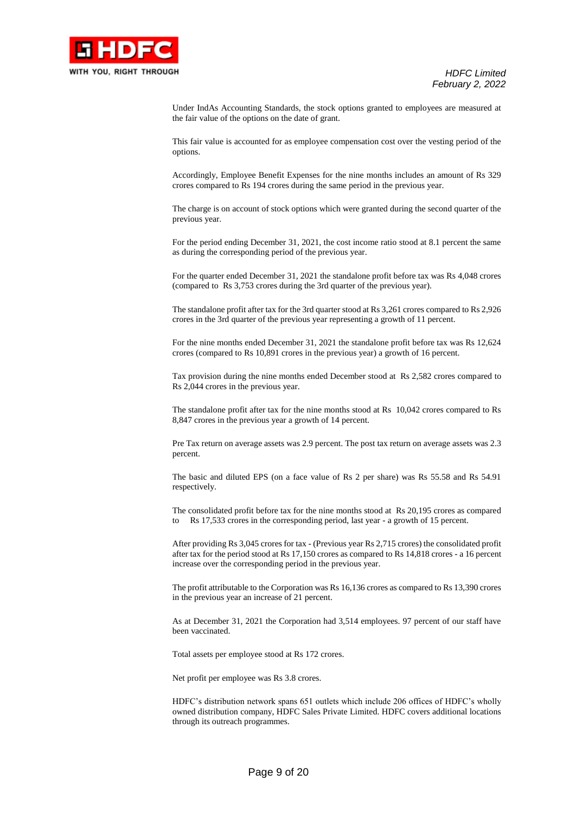

Under IndAs Accounting Standards, the stock options granted to employees are measured at the fair value of the options on the date of grant.

This fair value is accounted for as employee compensation cost over the vesting period of the options.

Accordingly, Employee Benefit Expenses for the nine months includes an amount of Rs 329 crores compared to Rs 194 crores during the same period in the previous year.

The charge is on account of stock options which were granted during the second quarter of the previous year.

For the period ending December 31, 2021, the cost income ratio stood at 8.1 percent the same as during the corresponding period of the previous year.

For the quarter ended December 31, 2021 the standalone profit before tax was Rs 4,048 crores (compared to Rs 3,753 crores during the 3rd quarter of the previous year).

The standalone profit after tax for the 3rd quarter stood at Rs 3,261 crores compared to Rs 2,926 crores in the 3rd quarter of the previous year representing a growth of 11 percent.

For the nine months ended December 31, 2021 the standalone profit before tax was Rs 12,624 crores (compared to Rs 10,891 crores in the previous year) a growth of 16 percent.

Tax provision during the nine months ended December stood at Rs 2,582 crores compared to Rs 2,044 crores in the previous year.

The standalone profit after tax for the nine months stood at Rs 10,042 crores compared to Rs 8,847 crores in the previous year a growth of 14 percent.

Pre Tax return on average assets was 2.9 percent. The post tax return on average assets was 2.3 percent.

The basic and diluted EPS (on a face value of Rs 2 per share) was Rs 55.58 and Rs 54.91 respectively.

The consolidated profit before tax for the nine months stood at Rs 20,195 crores as compared to Rs 17,533 crores in the corresponding period, last year - a growth of 15 percent.

After providing Rs 3,045 crores for tax - (Previous year Rs 2,715 crores) the consolidated profit after tax for the period stood at Rs 17,150 crores as compared to Rs 14,818 crores - a 16 percent increase over the corresponding period in the previous year.

The profit attributable to the Corporation was Rs 16,136 crores as compared to Rs 13,390 crores in the previous year an increase of 21 percent.

As at December 31, 2021 the Corporation had 3,514 employees. 97 percent of our staff have been vaccinated.

Total assets per employee stood at Rs 172 crores.

Net profit per employee was Rs 3.8 crores.

HDFC's distribution network spans 651 outlets which include 206 offices of HDFC's wholly owned distribution company, HDFC Sales Private Limited. HDFC covers additional locations through its outreach programmes.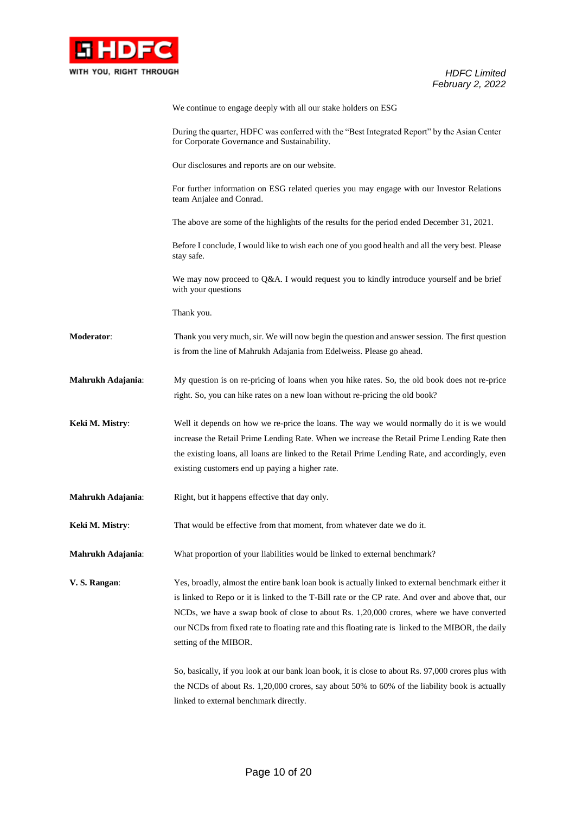

|                   | We continue to engage deeply with all our stake holders on ESG                                                                                                                                                                                                                                                                                                                                                                    |
|-------------------|-----------------------------------------------------------------------------------------------------------------------------------------------------------------------------------------------------------------------------------------------------------------------------------------------------------------------------------------------------------------------------------------------------------------------------------|
|                   | During the quarter, HDFC was conferred with the "Best Integrated Report" by the Asian Center<br>for Corporate Governance and Sustainability.                                                                                                                                                                                                                                                                                      |
|                   | Our disclosures and reports are on our website.                                                                                                                                                                                                                                                                                                                                                                                   |
|                   | For further information on ESG related queries you may engage with our Investor Relations<br>team Anjalee and Conrad.                                                                                                                                                                                                                                                                                                             |
|                   | The above are some of the highlights of the results for the period ended December 31, 2021.                                                                                                                                                                                                                                                                                                                                       |
|                   | Before I conclude, I would like to wish each one of you good health and all the very best. Please<br>stay safe.                                                                                                                                                                                                                                                                                                                   |
|                   | We may now proceed to Q&A. I would request you to kindly introduce yourself and be brief<br>with your questions                                                                                                                                                                                                                                                                                                                   |
|                   | Thank you.                                                                                                                                                                                                                                                                                                                                                                                                                        |
| Moderator:        | Thank you very much, sir. We will now begin the question and answer session. The first question<br>is from the line of Mahrukh Adajania from Edelweiss. Please go ahead.                                                                                                                                                                                                                                                          |
| Mahrukh Adajania: | My question is on re-pricing of loans when you hike rates. So, the old book does not re-price<br>right. So, you can hike rates on a new loan without re-pricing the old book?                                                                                                                                                                                                                                                     |
| Keki M. Mistry:   | Well it depends on how we re-price the loans. The way we would normally do it is we would<br>increase the Retail Prime Lending Rate. When we increase the Retail Prime Lending Rate then<br>the existing loans, all loans are linked to the Retail Prime Lending Rate, and accordingly, even<br>existing customers end up paying a higher rate.                                                                                   |
| Mahrukh Adajania: | Right, but it happens effective that day only.                                                                                                                                                                                                                                                                                                                                                                                    |
| Keki M. Mistry:   | That would be effective from that moment, from whatever date we do it.                                                                                                                                                                                                                                                                                                                                                            |
| Mahrukh Adajania: | What proportion of your liabilities would be linked to external benchmark?                                                                                                                                                                                                                                                                                                                                                        |
| V. S. Rangan:     | Yes, broadly, almost the entire bank loan book is actually linked to external benchmark either it<br>is linked to Repo or it is linked to the T-Bill rate or the CP rate. And over and above that, our<br>NCDs, we have a swap book of close to about Rs. 1,20,000 crores, where we have converted<br>our NCDs from fixed rate to floating rate and this floating rate is linked to the MIBOR, the daily<br>setting of the MIBOR. |
|                   | So, basically, if you look at our bank loan book, it is close to about Rs. 97,000 crores plus with<br>the NCDs of about Rs. 1,20,000 crores, say about 50% to 60% of the liability book is actually<br>linked to external benchmark directly.                                                                                                                                                                                     |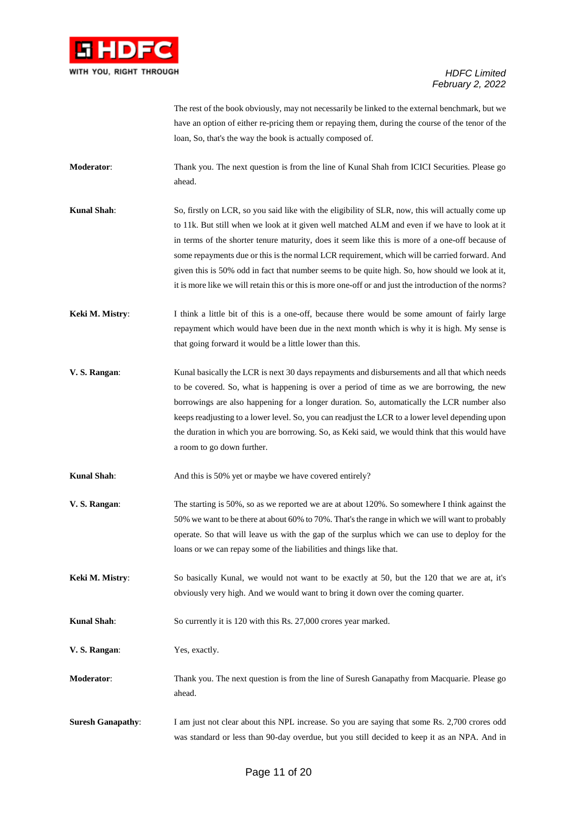

The rest of the book obviously, may not necessarily be linked to the external benchmark, but we have an option of either re-pricing them or repaying them, during the course of the tenor of the loan, So, that's the way the book is actually composed of.

- **Moderator:** Thank you. The next question is from the line of Kunal Shah from ICICI Securities. Please go ahead.
- **Kunal Shah:** So, firstly on LCR, so you said like with the eligibility of SLR, now, this will actually come up to 11k. But still when we look at it given well matched ALM and even if we have to look at it in terms of the shorter tenure maturity, does it seem like this is more of a one-off because of some repayments due or this is the normal LCR requirement, which will be carried forward. And given this is 50% odd in fact that number seems to be quite high. So, how should we look at it, it is more like we will retain this or this is more one-off or and just the introduction of the norms?
- **Keki M. Mistry:** I think a little bit of this is a one-off, because there would be some amount of fairly large repayment which would have been due in the next month which is why it is high. My sense is that going forward it would be a little lower than this.
- **V. S. Rangan**: Kunal basically the LCR is next 30 days repayments and disbursements and all that which needs to be covered. So, what is happening is over a period of time as we are borrowing, the new borrowings are also happening for a longer duration. So, automatically the LCR number also keeps readjusting to a lower level. So, you can readjust the LCR to a lower level depending upon the duration in which you are borrowing. So, as Keki said, we would think that this would have a room to go down further.
- **Kunal Shah**: And this is 50% yet or maybe we have covered entirely?
- **V. S. Rangan**: The starting is 50%, so as we reported we are at about 120%. So somewhere I think against the 50% we want to be there at about 60% to 70%. That's the range in which we will want to probably operate. So that will leave us with the gap of the surplus which we can use to deploy for the loans or we can repay some of the liabilities and things like that.
- **Keki M. Mistry:** So basically Kunal, we would not want to be exactly at 50, but the 120 that we are at, it's obviously very high. And we would want to bring it down over the coming quarter.

**Kunal Shah**: So currently it is 120 with this Rs. 27,000 crores year marked.

**V. S. Rangan**: Yes, exactly.

- **Moderator:** Thank you. The next question is from the line of Suresh Ganapathy from Macquarie. Please go ahead.
- **Suresh Ganapathy:** I am just not clear about this NPL increase. So you are saying that some Rs. 2,700 crores odd was standard or less than 90-day overdue, but you still decided to keep it as an NPA. And in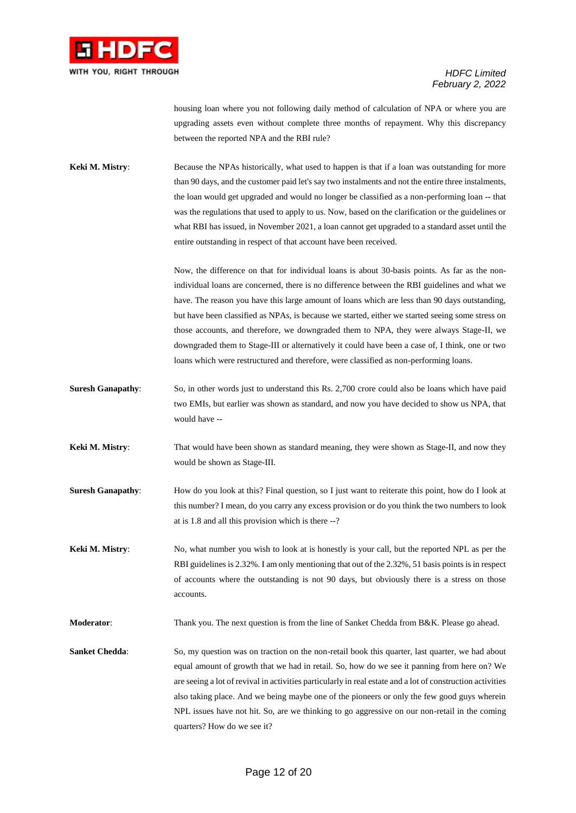

housing loan where you not following daily method of calculation of NPA or where you are upgrading assets even without complete three months of repayment. Why this discrepancy between the reported NPA and the RBI rule?

**Keki M. Mistry:** Because the NPAs historically, what used to happen is that if a loan was outstanding for more than 90 days, and the customer paid let's say two instalments and not the entire three instalments, the loan would get upgraded and would no longer be classified as a non-performing loan -- that was the regulations that used to apply to us. Now, based on the clarification or the guidelines or what RBI has issued, in November 2021, a loan cannot get upgraded to a standard asset until the entire outstanding in respect of that account have been received.

> Now, the difference on that for individual loans is about 30-basis points. As far as the nonindividual loans are concerned, there is no difference between the RBI guidelines and what we have. The reason you have this large amount of loans which are less than 90 days outstanding, but have been classified as NPAs, is because we started, either we started seeing some stress on those accounts, and therefore, we downgraded them to NPA, they were always Stage-II, we downgraded them to Stage-III or alternatively it could have been a case of, I think, one or two loans which were restructured and therefore, were classified as non-performing loans.

- **Suresh Ganapathy:** So, in other words just to understand this Rs. 2,700 crore could also be loans which have paid two EMIs, but earlier was shown as standard, and now you have decided to show us NPA, that would have --
- **Keki M. Mistry**: That would have been shown as standard meaning, they were shown as Stage-II, and now they would be shown as Stage-III.
- **Suresh Ganapathy:** How do you look at this? Final question, so I just want to reiterate this point, how do I look at this number? I mean, do you carry any excess provision or do you think the two numbers to look at is 1.8 and all this provision which is there --?
- **Keki M. Mistry:** No, what number you wish to look at is honestly is your call, but the reported NPL as per the RBI guidelines is 2.32%. I am only mentioning that out of the 2.32%, 51 basis points is in respect of accounts where the outstanding is not 90 days, but obviously there is a stress on those accounts.

**Moderator:** Thank you. The next question is from the line of Sanket Chedda from B&K. Please go ahead.

**Sanket Chedda:** So, my question was on traction on the non-retail book this quarter, last quarter, we had about equal amount of growth that we had in retail. So, how do we see it panning from here on? We are seeing a lot of revival in activities particularly in real estate and a lot of construction activities also taking place. And we being maybe one of the pioneers or only the few good guys wherein NPL issues have not hit. So, are we thinking to go aggressive on our non-retail in the coming quarters? How do we see it?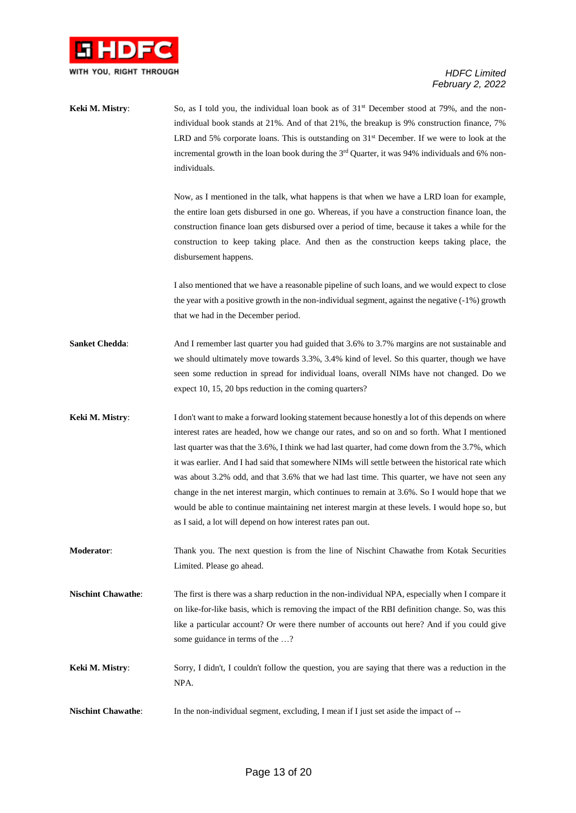

| Keki M. Mistry:           | So, as I told you, the individual loan book as of $31st$ December stood at 79%, and the non-<br>individual book stands at 21%. And of that 21%, the breakup is 9% construction finance, 7%<br>LRD and 5% corporate loans. This is outstanding on $31st$ December. If we were to look at the<br>incremental growth in the loan book during the 3 <sup>rd</sup> Quarter, it was 94% individuals and 6% non-<br>individuals.                                                                                                                                                                                                                                                                                                                                                 |
|---------------------------|---------------------------------------------------------------------------------------------------------------------------------------------------------------------------------------------------------------------------------------------------------------------------------------------------------------------------------------------------------------------------------------------------------------------------------------------------------------------------------------------------------------------------------------------------------------------------------------------------------------------------------------------------------------------------------------------------------------------------------------------------------------------------|
|                           | Now, as I mentioned in the talk, what happens is that when we have a LRD loan for example,<br>the entire loan gets disbursed in one go. Whereas, if you have a construction finance loan, the<br>construction finance loan gets disbursed over a period of time, because it takes a while for the<br>construction to keep taking place. And then as the construction keeps taking place, the<br>disbursement happens.                                                                                                                                                                                                                                                                                                                                                     |
|                           | I also mentioned that we have a reasonable pipeline of such loans, and we would expect to close<br>the year with a positive growth in the non-individual segment, against the negative $(-1\%)$ growth<br>that we had in the December period.                                                                                                                                                                                                                                                                                                                                                                                                                                                                                                                             |
| <b>Sanket Chedda:</b>     | And I remember last quarter you had guided that 3.6% to 3.7% margins are not sustainable and<br>we should ultimately move towards 3.3%, 3.4% kind of level. So this quarter, though we have<br>seen some reduction in spread for individual loans, overall NIMs have not changed. Do we<br>expect 10, 15, 20 bps reduction in the coming quarters?                                                                                                                                                                                                                                                                                                                                                                                                                        |
| Keki M. Mistry:           | I don't want to make a forward looking statement because honestly a lot of this depends on where<br>interest rates are headed, how we change our rates, and so on and so forth. What I mentioned<br>last quarter was that the 3.6%, I think we had last quarter, had come down from the 3.7%, which<br>it was earlier. And I had said that somewhere NIMs will settle between the historical rate which<br>was about 3.2% odd, and that 3.6% that we had last time. This quarter, we have not seen any<br>change in the net interest margin, which continues to remain at 3.6%. So I would hope that we<br>would be able to continue maintaining net interest margin at these levels. I would hope so, but<br>as I said, a lot will depend on how interest rates pan out. |
| Moderator:                | Thank you. The next question is from the line of Nischint Chawathe from Kotak Securities<br>Limited. Please go ahead.                                                                                                                                                                                                                                                                                                                                                                                                                                                                                                                                                                                                                                                     |
| <b>Nischint Chawathe:</b> | The first is there was a sharp reduction in the non-individual NPA, especially when I compare it<br>on like-for-like basis, which is removing the impact of the RBI definition change. So, was this<br>like a particular account? Or were there number of accounts out here? And if you could give<br>some guidance in terms of the ?                                                                                                                                                                                                                                                                                                                                                                                                                                     |
| Keki M. Mistry:           | Sorry, I didn't, I couldn't follow the question, you are saying that there was a reduction in the<br>NPA.                                                                                                                                                                                                                                                                                                                                                                                                                                                                                                                                                                                                                                                                 |
| <b>Nischint Chawathe:</b> | In the non-individual segment, excluding, I mean if I just set aside the impact of --                                                                                                                                                                                                                                                                                                                                                                                                                                                                                                                                                                                                                                                                                     |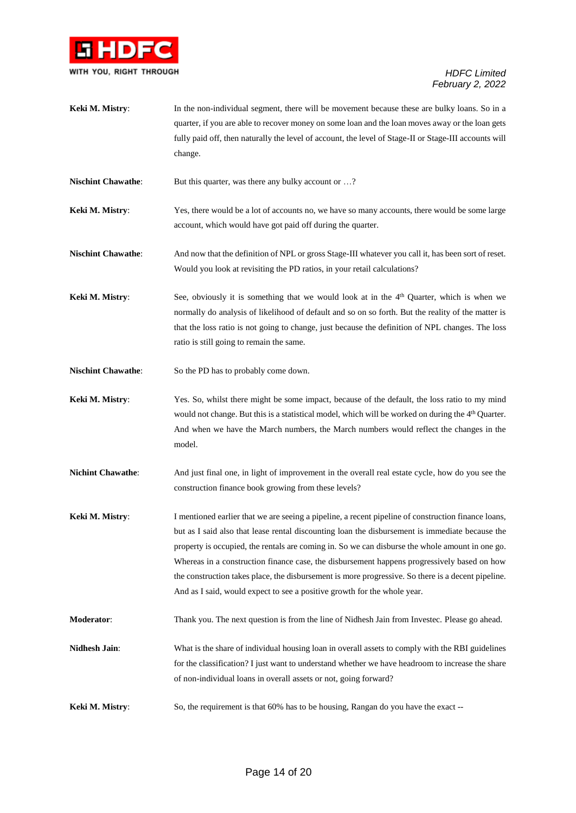

| Keki M. Mistry: | In the non-individual segment, there will be movement because these are bulky loans. So in a          |
|-----------------|-------------------------------------------------------------------------------------------------------|
|                 | quarter, if you are able to recover money on some loan and the loan moves away or the loan gets       |
|                 | fully paid off, then naturally the level of account, the level of Stage-II or Stage-III accounts will |
|                 | change.                                                                                               |

**Nischint Chawathe:** But this quarter, was there any bulky account or ...?

**Keki M. Mistry:** Yes, there would be a lot of accounts no, we have so many accounts, there would be some large account, which would have got paid off during the quarter.

**Nischint Chawathe**: And now that the definition of NPL or gross Stage-III whatever you call it, has been sort of reset. Would you look at revisiting the PD ratios, in your retail calculations?

**Keki M. Mistry:** See, obviously it is something that we would look at in the 4<sup>th</sup> Quarter, which is when we normally do analysis of likelihood of default and so on so forth. But the reality of the matter is that the loss ratio is not going to change, just because the definition of NPL changes. The loss ratio is still going to remain the same.

**Nischint Chawathe**: So the PD has to probably come down.

**Keki M. Mistry**: Yes. So, whilst there might be some impact, because of the default, the loss ratio to my mind would not change. But this is a statistical model, which will be worked on during the 4<sup>th</sup> Quarter. And when we have the March numbers, the March numbers would reflect the changes in the model.

**Nichint Chawathe:** And just final one, in light of improvement in the overall real estate cycle, how do you see the construction finance book growing from these levels?

**Keki M. Mistry**: I mentioned earlier that we are seeing a pipeline, a recent pipeline of construction finance loans, but as I said also that lease rental discounting loan the disbursement is immediate because the property is occupied, the rentals are coming in. So we can disburse the whole amount in one go. Whereas in a construction finance case, the disbursement happens progressively based on how the construction takes place, the disbursement is more progressive. So there is a decent pipeline. And as I said, would expect to see a positive growth for the whole year.

**Moderator**: Thank you. The next question is from the line of Nidhesh Jain from Investec. Please go ahead.

- **Nidhesh Jain**: What is the share of individual housing loan in overall assets to comply with the RBI guidelines for the classification? I just want to understand whether we have headroom to increase the share of non-individual loans in overall assets or not, going forward?
- **Keki M. Mistry:** So, the requirement is that 60% has to be housing, Rangan do you have the exact --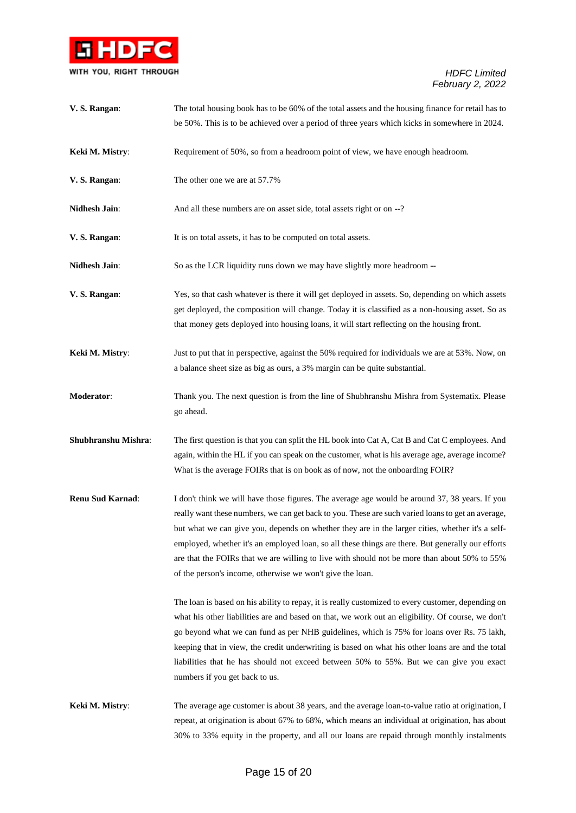

| V.S. Rangan:            | The total housing book has to be 60% of the total assets and the housing finance for retail has to                                                                                                                                                                                                                                                                                                                                                                                                                                                                                                                                                                              |
|-------------------------|---------------------------------------------------------------------------------------------------------------------------------------------------------------------------------------------------------------------------------------------------------------------------------------------------------------------------------------------------------------------------------------------------------------------------------------------------------------------------------------------------------------------------------------------------------------------------------------------------------------------------------------------------------------------------------|
|                         | be 50%. This is to be achieved over a period of three years which kicks in somewhere in 2024.                                                                                                                                                                                                                                                                                                                                                                                                                                                                                                                                                                                   |
| Keki M. Mistry:         | Requirement of 50%, so from a headroom point of view, we have enough headroom.                                                                                                                                                                                                                                                                                                                                                                                                                                                                                                                                                                                                  |
| V.S. Rangan:            | The other one we are at 57.7%                                                                                                                                                                                                                                                                                                                                                                                                                                                                                                                                                                                                                                                   |
| <b>Nidhesh Jain:</b>    | And all these numbers are on asset side, total assets right or on --?                                                                                                                                                                                                                                                                                                                                                                                                                                                                                                                                                                                                           |
| V. S. Rangan:           | It is on total assets, it has to be computed on total assets.                                                                                                                                                                                                                                                                                                                                                                                                                                                                                                                                                                                                                   |
| <b>Nidhesh Jain:</b>    | So as the LCR liquidity runs down we may have slightly more headroom --                                                                                                                                                                                                                                                                                                                                                                                                                                                                                                                                                                                                         |
| V. S. Rangan:           | Yes, so that cash whatever is there it will get deployed in assets. So, depending on which assets<br>get deployed, the composition will change. Today it is classified as a non-housing asset. So as<br>that money gets deployed into housing loans, it will start reflecting on the housing front.                                                                                                                                                                                                                                                                                                                                                                             |
| Keki M. Mistry:         | Just to put that in perspective, against the 50% required for individuals we are at 53%. Now, on<br>a balance sheet size as big as ours, a 3% margin can be quite substantial.                                                                                                                                                                                                                                                                                                                                                                                                                                                                                                  |
| Moderator:              | Thank you. The next question is from the line of Shubhranshu Mishra from Systematix. Please<br>go ahead.                                                                                                                                                                                                                                                                                                                                                                                                                                                                                                                                                                        |
| Shubhranshu Mishra:     | The first question is that you can split the HL book into Cat A, Cat B and Cat C employees. And<br>again, within the HL if you can speak on the customer, what is his average age, average income?<br>What is the average FOIRs that is on book as of now, not the onboarding FOIR?                                                                                                                                                                                                                                                                                                                                                                                             |
| <b>Renu Sud Karnad:</b> | I don't think we will have those figures. The average age would be around 37, 38 years. If you<br>really want these numbers, we can get back to you. These are such varied loans to get an average,<br>but what we can give you, depends on whether they are in the larger cities, whether it's a self-<br>employed, whether it's an employed loan, so all these things are there. But generally our efforts<br>are that the FOIRs that we are willing to live with should not be more than about 50% to 55%<br>of the person's income, otherwise we won't give the loan.<br>The loan is based on his ability to repay, it is really customized to every customer, depending on |
|                         | what his other liabilities are and based on that, we work out an eligibility. Of course, we don't<br>go beyond what we can fund as per NHB guidelines, which is 75% for loans over Rs. 75 lakh,<br>keeping that in view, the credit underwriting is based on what his other loans are and the total<br>liabilities that he has should not exceed between 50% to 55%. But we can give you exact<br>numbers if you get back to us.                                                                                                                                                                                                                                                |
| Keki M. Mistry:         | The average age customer is about 38 years, and the average loan-to-value ratio at origination, I<br>repeat, at origination is about 67% to 68%, which means an individual at origination, has about<br>30% to 33% equity in the property, and all our loans are repaid through monthly instalments                                                                                                                                                                                                                                                                                                                                                                             |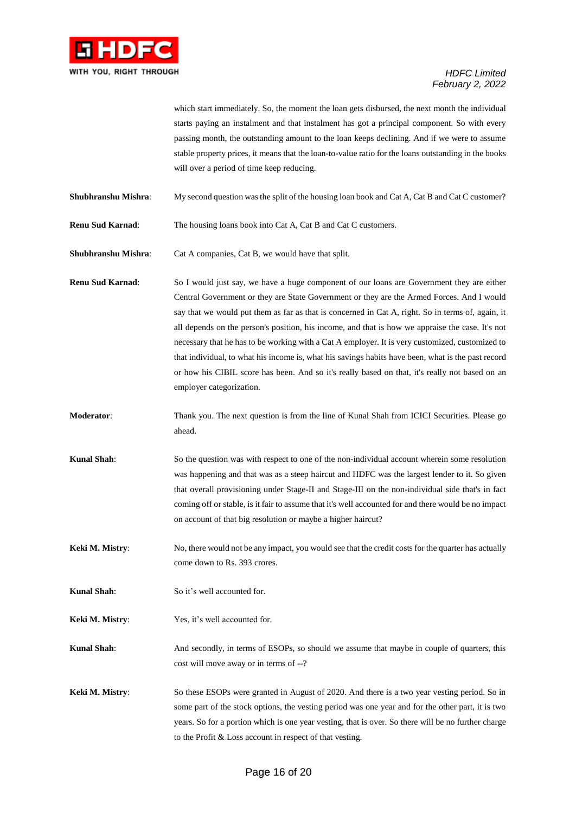

which start immediately. So, the moment the loan gets disbursed, the next month the individual starts paying an instalment and that instalment has got a principal component. So with every passing month, the outstanding amount to the loan keeps declining. And if we were to assume stable property prices, it means that the loan-to-value ratio for the loans outstanding in the books will over a period of time keep reducing.

- **Shubhranshu Mishra:** My second question was the split of the housing loan book and Cat A, Cat B and Cat C customer?
- **Renu Sud Karnad**: The housing loans book into Cat A, Cat B and Cat C customers.

**Shubhranshu Mishra:** Cat A companies, Cat B, we would have that split.

**Renu Sud Karnad**: So I would just say, we have a huge component of our loans are Government they are either Central Government or they are State Government or they are the Armed Forces. And I would say that we would put them as far as that is concerned in Cat A, right. So in terms of, again, it all depends on the person's position, his income, and that is how we appraise the case. It's not necessary that he has to be working with a Cat A employer. It is very customized, customized to that individual, to what his income is, what his savings habits have been, what is the past record or how his CIBIL score has been. And so it's really based on that, it's really not based on an employer categorization.

- **Moderator:** Thank you. The next question is from the line of Kunal Shah from ICICI Securities. Please go ahead.
- **Kunal Shah:** So the question was with respect to one of the non-individual account wherein some resolution was happening and that was as a steep haircut and HDFC was the largest lender to it. So given that overall provisioning under Stage-II and Stage-III on the non-individual side that's in fact coming off or stable, is it fair to assume that it's well accounted for and there would be no impact on account of that big resolution or maybe a higher haircut?
- **Keki M. Mistry:** No, there would not be any impact, you would see that the credit costs for the quarter has actually come down to Rs. 393 crores.
- **Kunal Shah**: So it's well accounted for.
- **Keki M. Mistry:** Yes, it's well accounted for.

**Kunal Shah**: And secondly, in terms of ESOPs, so should we assume that maybe in couple of quarters, this cost will move away or in terms of --?

**Keki M. Mistry**: So these ESOPs were granted in August of 2020. And there is a two year vesting period. So in some part of the stock options, the vesting period was one year and for the other part, it is two years. So for a portion which is one year vesting, that is over. So there will be no further charge to the Profit & Loss account in respect of that vesting.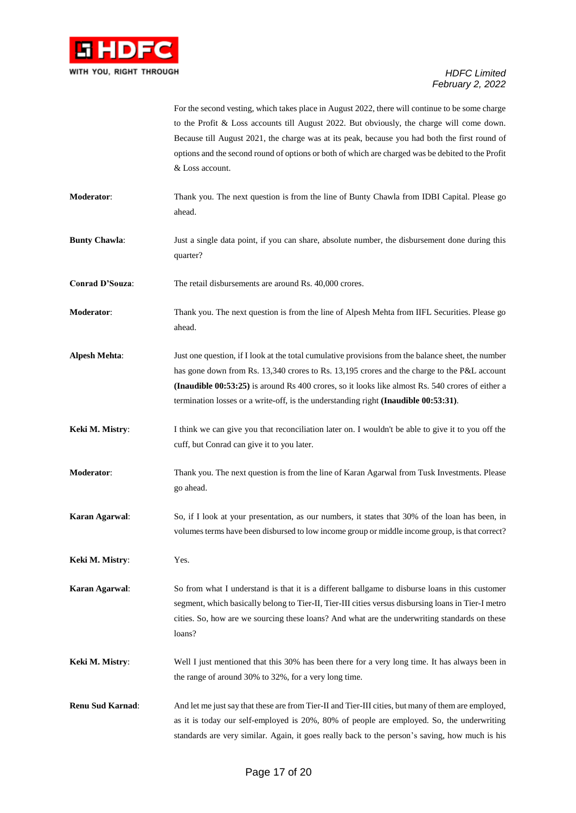

For the second vesting, which takes place in August 2022, there will continue to be some charge to the Profit & Loss accounts till August 2022. But obviously, the charge will come down. Because till August 2021, the charge was at its peak, because you had both the first round of options and the second round of options or both of which are charged was be debited to the Profit & Loss account.

- **Moderator**: Thank you. The next question is from the line of Bunty Chawla from IDBI Capital. Please go ahead.
- **Bunty Chawla:** Just a single data point, if you can share, absolute number, the disbursement done during this quarter?
- **Conrad D'Souza:** The retail disbursements are around Rs. 40,000 crores.
- **Moderator**: Thank you. The next question is from the line of Alpesh Mehta from IIFL Securities. Please go ahead.
- **Alpesh Mehta**: Just one question, if I look at the total cumulative provisions from the balance sheet, the number has gone down from Rs. 13,340 crores to Rs. 13,195 crores and the charge to the P&L account **(Inaudible 00:53:25)** is around Rs 400 crores, so it looks like almost Rs. 540 crores of either a termination losses or a write-off, is the understanding right **(Inaudible 00:53:31)**.
- **Keki M. Mistry:** I think we can give you that reconciliation later on. I wouldn't be able to give it to you off the cuff, but Conrad can give it to you later.
- **Moderator**: Thank you. The next question is from the line of Karan Agarwal from Tusk Investments. Please go ahead.
- **Karan Agarwal**: So, if I look at your presentation, as our numbers, it states that 30% of the loan has been, in volumes terms have been disbursed to low income group or middle income group, is that correct?
- **Keki M. Mistry**: Yes.

**Karan Agarwal**: So from what I understand is that it is a different ballgame to disburse loans in this customer segment, which basically belong to Tier-II, Tier-III cities versus disbursing loans in Tier-I metro cities. So, how are we sourcing these loans? And what are the underwriting standards on these loans?

- **Keki M. Mistry**: Well I just mentioned that this 30% has been there for a very long time. It has always been in the range of around 30% to 32%, for a very long time.
- **Renu Sud Karnad**: And let me just say that these are from Tier-II and Tier-III cities, but many of them are employed, as it is today our self-employed is 20%, 80% of people are employed. So, the underwriting standards are very similar. Again, it goes really back to the person's saving, how much is his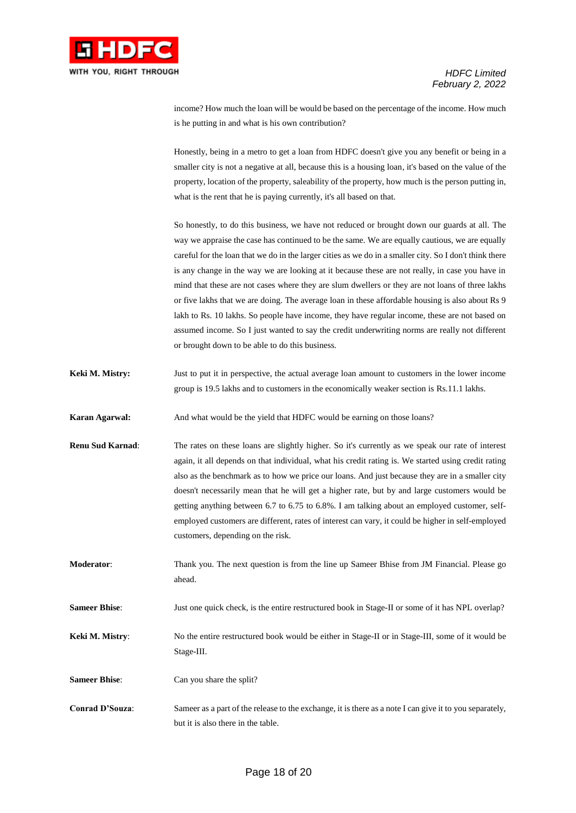

income? How much the loan will be would be based on the percentage of the income. How much is he putting in and what is his own contribution?

Honestly, being in a metro to get a loan from HDFC doesn't give you any benefit or being in a smaller city is not a negative at all, because this is a housing loan, it's based on the value of the property, location of the property, saleability of the property, how much is the person putting in, what is the rent that he is paying currently, it's all based on that.

So honestly, to do this business, we have not reduced or brought down our guards at all. The way we appraise the case has continued to be the same. We are equally cautious, we are equally careful for the loan that we do in the larger cities as we do in a smaller city. So I don't think there is any change in the way we are looking at it because these are not really, in case you have in mind that these are not cases where they are slum dwellers or they are not loans of three lakhs or five lakhs that we are doing. The average loan in these affordable housing is also about Rs 9 lakh to Rs. 10 lakhs. So people have income, they have regular income, these are not based on assumed income. So I just wanted to say the credit underwriting norms are really not different or brought down to be able to do this business.

**Keki M. Mistry:** Just to put it in perspective, the actual average loan amount to customers in the lower income group is 19.5 lakhs and to customers in the economically weaker section is Rs.11.1 lakhs.

**Karan Agarwal:** And what would be the yield that HDFC would be earning on those loans?

**Renu Sud Karnad:** The rates on these loans are slightly higher. So it's currently as we speak our rate of interest again, it all depends on that individual, what his credit rating is. We started using credit rating also as the benchmark as to how we price our loans. And just because they are in a smaller city doesn't necessarily mean that he will get a higher rate, but by and large customers would be getting anything between 6.7 to 6.75 to 6.8%. I am talking about an employed customer, selfemployed customers are different, rates of interest can vary, it could be higher in self-employed customers, depending on the risk.

**Moderator**: Thank you. The next question is from the line up Sameer Bhise from JM Financial. Please go ahead.

**Sameer Bhise:** Just one quick check, is the entire restructured book in Stage-II or some of it has NPL overlap?

**Keki M. Mistry:** No the entire restructured book would be either in Stage-II or in Stage-III, some of it would be Stage-III.

**Sameer Bhise:** Can you share the split?

**Conrad D'Souza**: Sameer as a part of the release to the exchange, it is there as a note I can give it to you separately, but it is also there in the table.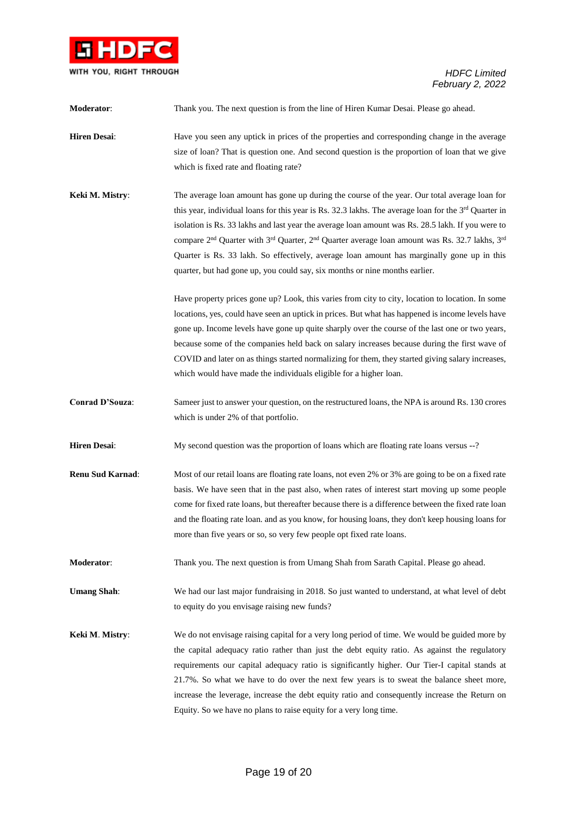

| Moderator:              | Thank you. The next question is from the line of Hiren Kumar Desai. Please go ahead.                                                                                                                                                                                                                                                                                                                                                                                                                                                                                                                                                     |
|-------------------------|------------------------------------------------------------------------------------------------------------------------------------------------------------------------------------------------------------------------------------------------------------------------------------------------------------------------------------------------------------------------------------------------------------------------------------------------------------------------------------------------------------------------------------------------------------------------------------------------------------------------------------------|
| <b>Hiren Desai:</b>     | Have you seen any uptick in prices of the properties and corresponding change in the average<br>size of loan? That is question one. And second question is the proportion of loan that we give<br>which is fixed rate and floating rate?                                                                                                                                                                                                                                                                                                                                                                                                 |
| Keki M. Mistry:         | The average loan amount has gone up during the course of the year. Our total average loan for<br>this year, individual loans for this year is Rs. 32.3 lakhs. The average loan for the 3rd Quarter in<br>isolation is Rs. 33 lakhs and last year the average loan amount was Rs. 28.5 lakh. If you were to<br>compare 2 <sup>nd</sup> Quarter with 3 <sup>rd</sup> Quarter, 2 <sup>nd</sup> Quarter average loan amount was Rs. 32.7 lakhs, 3 <sup>rd</sup><br>Quarter is Rs. 33 lakh. So effectively, average loan amount has marginally gone up in this<br>quarter, but had gone up, you could say, six months or nine months earlier. |
|                         | Have property prices gone up? Look, this varies from city to city, location to location. In some<br>locations, yes, could have seen an uptick in prices. But what has happened is income levels have<br>gone up. Income levels have gone up quite sharply over the course of the last one or two years,<br>because some of the companies held back on salary increases because during the first wave of<br>COVID and later on as things started normalizing for them, they started giving salary increases,<br>which would have made the individuals eligible for a higher loan.                                                         |
| Conrad D'Souza:         | Sameer just to answer your question, on the restructured loans, the NPA is around Rs. 130 crores<br>which is under 2% of that portfolio.                                                                                                                                                                                                                                                                                                                                                                                                                                                                                                 |
| <b>Hiren Desai:</b>     | My second question was the proportion of loans which are floating rate loans versus --?                                                                                                                                                                                                                                                                                                                                                                                                                                                                                                                                                  |
| <b>Renu Sud Karnad:</b> | Most of our retail loans are floating rate loans, not even 2% or 3% are going to be on a fixed rate<br>basis. We have seen that in the past also, when rates of interest start moving up some people<br>come for fixed rate loans, but thereafter because there is a difference between the fixed rate loan<br>and the floating rate loan. and as you know, for housing loans, they don't keep housing loans for<br>more than five years or so, so very few people opt fixed rate loans.                                                                                                                                                 |
| Moderator:              | Thank you. The next question is from Umang Shah from Sarath Capital. Please go ahead.                                                                                                                                                                                                                                                                                                                                                                                                                                                                                                                                                    |
| <b>Umang Shah:</b>      | We had our last major fundraising in 2018. So just wanted to understand, at what level of debt<br>to equity do you envisage raising new funds?                                                                                                                                                                                                                                                                                                                                                                                                                                                                                           |
| Keki M. Mistry:         | We do not envisage raising capital for a very long period of time. We would be guided more by<br>the capital adequacy ratio rather than just the debt equity ratio. As against the regulatory<br>requirements our capital adequacy ratio is significantly higher. Our Tier-I capital stands at<br>21.7%. So what we have to do over the next few years is to sweat the balance sheet more,<br>increase the leverage, increase the debt equity ratio and consequently increase the Return on<br>Equity. So we have no plans to raise equity for a very long time.                                                                         |